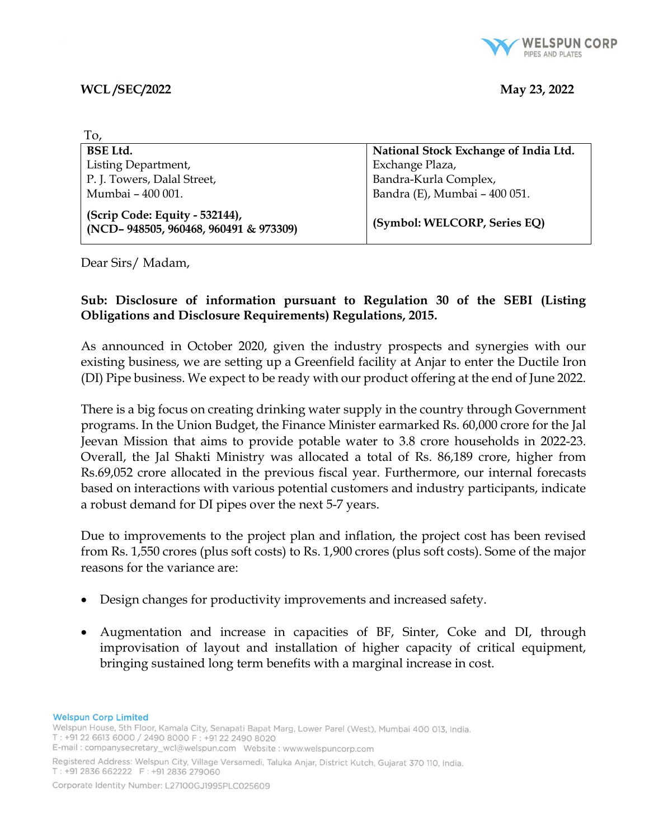

### WCL /SEC/2022 May 23, 2022

| To,                                                                     |                                       |
|-------------------------------------------------------------------------|---------------------------------------|
| <b>BSE Ltd.</b>                                                         | National Stock Exchange of India Ltd. |
| Listing Department,                                                     | Exchange Plaza,                       |
| P. J. Towers, Dalal Street,                                             | Bandra-Kurla Complex,                 |
| Mumbai - 400 001.                                                       | Bandra (E), Mumbai - 400 051.         |
| (Scrip Code: Equity - 532144),<br>(NCD-948505, 960468, 960491 & 973309) | (Symbol: WELCORP, Series EQ)          |

Dear Sirs/ Madam,

# Sub: Disclosure of information pursuant to Regulation 30 of the SEBI (Listing Obligations and Disclosure Requirements) Regulations, 2015.

As announced in October 2020, given the industry prospects and synergies with our existing business, we are setting up a Greenfield facility at Anjar to enter the Ductile Iron (DI) Pipe business. We expect to be ready with our product offering at the end of June 2022.

There is a big focus on creating drinking water supply in the country through Government programs. In the Union Budget, the Finance Minister earmarked Rs. 60,000 crore for the Jal Jeevan Mission that aims to provide potable water to 3.8 crore households in 2022-23. Overall, the Jal Shakti Ministry was allocated a total of Rs. 86,189 crore, higher from Rs.69,052 crore allocated in the previous fiscal year. Furthermore, our internal forecasts based on interactions with various potential customers and industry participants, indicate a robust demand for DI pipes over the next 5-7 years.

Due to improvements to the project plan and inflation, the project cost has been revised from Rs. 1,550 crores (plus soft costs) to Rs. 1,900 crores (plus soft costs). Some of the major reasons for the variance are:

- Design changes for productivity improvements and increased safety.
- Augmentation and increase in capacities of BF, Sinter, Coke and DI, through improvisation of layout and installation of higher capacity of critical equipment, bringing sustained long term benefits with a marginal increase in cost.

**Welspun Corp Limited** 

Welspun House, 5th Floor, Kamala City, Senapati Bapat Marg, Lower Parel (West), Mumbai 400 013, India. T: +91 22 6613 6000 / 2490 8000 F: +91 22 2490 8020 

Registered Address: Welspun City, Village Versamedi, Taluka Anjar, District Kutch, Gujarat 370 110, India. T: +91 2836 662222 F: +91 2836 279060